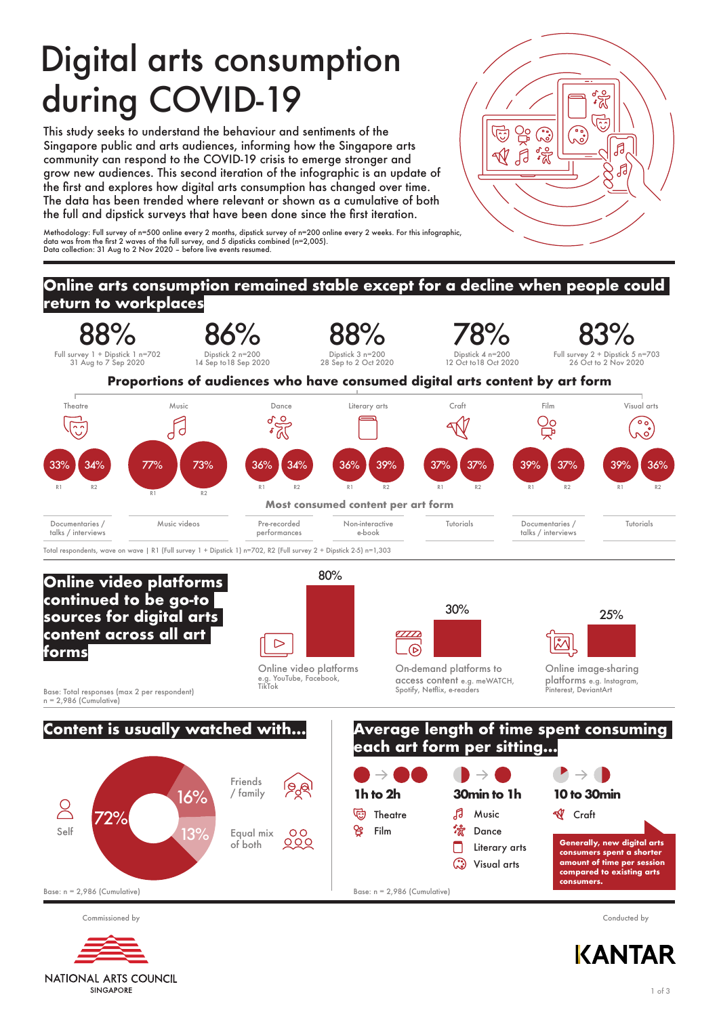# Digital arts consumption during COVID-19

This study seeks to understand the behaviour and sentiments of the Singapore public and arts audiences, informing how the Singapore arts community can respond to the COVID-19 crisis to emerge stronger and grow new audiences. This second iteration of the infographic is an update of the first and explores how digital arts consumption has changed over time. The data has been trended where relevant or shown as a cumulative of both the full and dipstick surveys that have been done since the first iteration.

Methodology: Full survey of n=500 online every 2 months, dipstick survey of n=200 online every 2 weeks. For this infographic,<br>data was from the first 2 waves of the full survey, and 5 dipsticks combined (n=2,005).<br>Data col

#### **Online arts consumption remained stable except for a decline when people could return to workplaces** 88% 86% 88% 78% 83% Dipstick 2 n=200 Dipstick 4 n=200 Full survey 1 + Dipstick 1 n=702 31 Aug to 7 Sep 2020 Dipstick 3 n=200 28 Sep to 2 Oct 2020 Full survey 2 + Dipstick 5 n=703 26 Oct to 2 Nov 2020 14 Sep to18 Sep 2020 12 Oct to18 Oct 2020 **Proportions of audiences who have consumed digital arts content by art form** Theatre Music Dance Literary arts Craft Film Visual arts  $\overline{O}$ Οc ۰ó Fd . ဂ 33% 34% 77% 73% 36% 34% 36% 39% 37% 37% 39% 37% 39% 36% R1 R2 R1 R2 R1 R2 R1 R2 R1 R2 R1 R2 R<sub>1</sub> R<sub>2</sub> R<sub>2</sub> **Most consumed content per art form** Documentaries / Music videos Documentaries / Tutorials Pre-recorded Non-interactive Tutorials talks / interviews performances e-book talks / interviews Total respondents, wave on wave | R1 (Full survey 1 + Dipstick 1) n=702, R2 (Full survey 2 + Dipstick 2-5) n=1,303 80% **Online video platforms continued to be go-to**  30% 25% **sources for digital arts content across all art**   $\sigma$  $\boxtimes$  $\triangleright$ চ **forms** On-demand platforms to Online video platforms Online image-sharing e.g. YouTube, Facebook, access content e.g. meWATCH, platforms e.g. Instagram, TikTok Spotify, Netflix, e-readers .<br>Pinterest, DeviantArt Base: Total responses (max 2 per respondent) n = 2,986 (Cumulative) **Average length of time spent consuming Content is usually watched with... each art form per sitting...**  $\rightarrow$  (  $\rightarrow$ Friends **1h to 2h** / family **30min to 1h 10 to 30min** 16% <u>R</u>



Commissioned by Conducted by

Self



**NATIONAL ARTS COUNCIL SINGAPORE** 

**KANTAR** 

**end** E

 $\sqrt{d}$ 

ಿ

**있** 

 $\overline{\mathbb{N}}$  $\overline{\mathcal{J}}$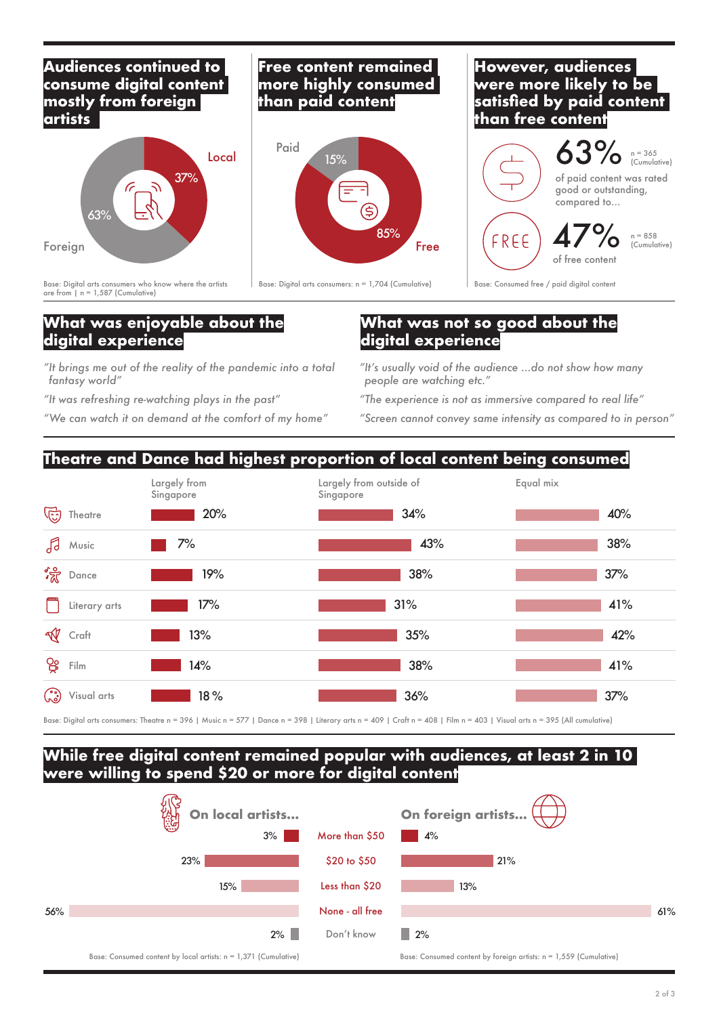### **Audiences continued to consume digital content mostly from foreign artists**



Base: Digital arts consumers who know where the artists are from  $| n = 1,587$  (Cumulative)

### **Free content remained more highly consumed than paid content**



Base: Digital arts consumers:  $n = 1,704$  (Cumulative) Base: Consumed free / paid digital content

### **However, audiences were more likely to be satisfied by paid content than free content**



### **What was enjoyable about the digital experience**

*"It brings me out of the reality of the pandemic into a total fantasy world"*

*"It was refreshing re-watching plays in the past"*

*"We can watch it on demand at the comfort of my home"*

### **What was not so good about the digital experience**

*"It's usually void of the audience ...do not show how many people are watching etc."*

*"The experience is not as immersive compared to real life"*

*"Screen cannot convey same intensity as compared to in person"*

## **Theatre and Dance had highest proportion of local content being consumed**



Base: Digital arts consumers: Theatre n = 396 | Music n = 577 | Dance n = 398 | Literary arts n = 409 | Craft n = 408 | Film n = 403 | Visual arts n = 395 (All cumulative)

### **While free digital content remained popular with audiences, at least 2 in 10 were willing to spend \$20 or more for digital content**